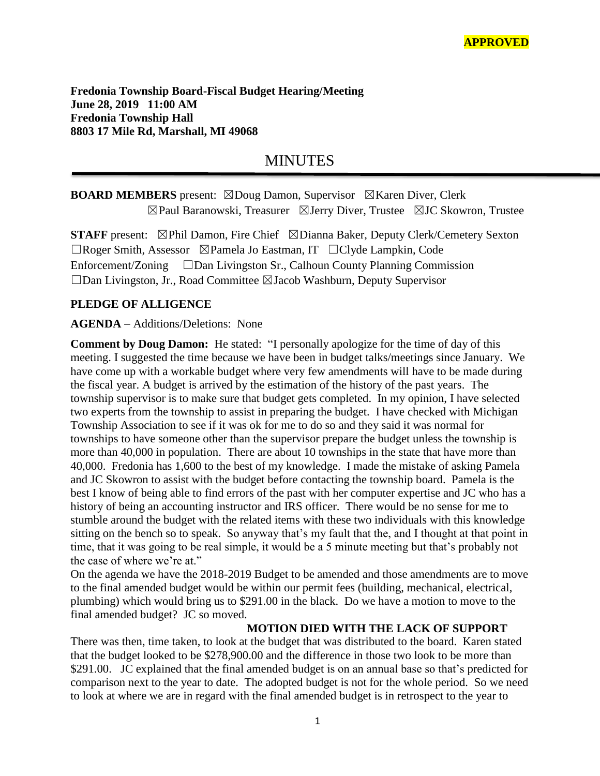**Fredonia Township Board-Fiscal Budget Hearing/Meeting June 28, 2019 11:00 AM Fredonia Township Hall 8803 17 Mile Rd, Marshall, MI 49068**

# MINUTES

## **BOARD MEMBERS** present: ⊠Doug Damon, Supervisor **⊠Karen Diver, Clerk** ☒Paul Baranowski, Treasurer ☒Jerry Diver, Trustee ☒JC Skowron, Trustee

**STAFF** present: ⊠Phil Damon, Fire Chief ⊠Dianna Baker, Deputy Clerk/Cemetery Sexton ☐Roger Smith, Assessor ☒Pamela Jo Eastman, IT ☐Clyde Lampkin, Code Enforcement/Zoning ☐Dan Livingston Sr., Calhoun County Planning Commission ☐Dan Livingston, Jr., Road Committee ☒Jacob Washburn, Deputy Supervisor

### **PLEDGE OF ALLIGENCE**

#### **AGENDA** – Additions/Deletions: None

**Comment by Doug Damon:** He stated: "I personally apologize for the time of day of this meeting. I suggested the time because we have been in budget talks/meetings since January. We have come up with a workable budget where very few amendments will have to be made during the fiscal year. A budget is arrived by the estimation of the history of the past years. The township supervisor is to make sure that budget gets completed. In my opinion, I have selected two experts from the township to assist in preparing the budget. I have checked with Michigan Township Association to see if it was ok for me to do so and they said it was normal for townships to have someone other than the supervisor prepare the budget unless the township is more than 40,000 in population. There are about 10 townships in the state that have more than 40,000. Fredonia has 1,600 to the best of my knowledge. I made the mistake of asking Pamela and JC Skowron to assist with the budget before contacting the township board. Pamela is the best I know of being able to find errors of the past with her computer expertise and JC who has a history of being an accounting instructor and IRS officer. There would be no sense for me to stumble around the budget with the related items with these two individuals with this knowledge sitting on the bench so to speak. So anyway that's my fault that the, and I thought at that point in time, that it was going to be real simple, it would be a 5 minute meeting but that's probably not the case of where we're at."

On the agenda we have the 2018-2019 Budget to be amended and those amendments are to move to the final amended budget would be within our permit fees (building, mechanical, electrical, plumbing) which would bring us to \$291.00 in the black. Do we have a motion to move to the final amended budget? JC so moved.

#### **MOTION DIED WITH THE LACK OF SUPPORT**

There was then, time taken, to look at the budget that was distributed to the board. Karen stated that the budget looked to be \$278,900.00 and the difference in those two look to be more than \$291.00. JC explained that the final amended budget is on an annual base so that's predicted for comparison next to the year to date. The adopted budget is not for the whole period. So we need to look at where we are in regard with the final amended budget is in retrospect to the year to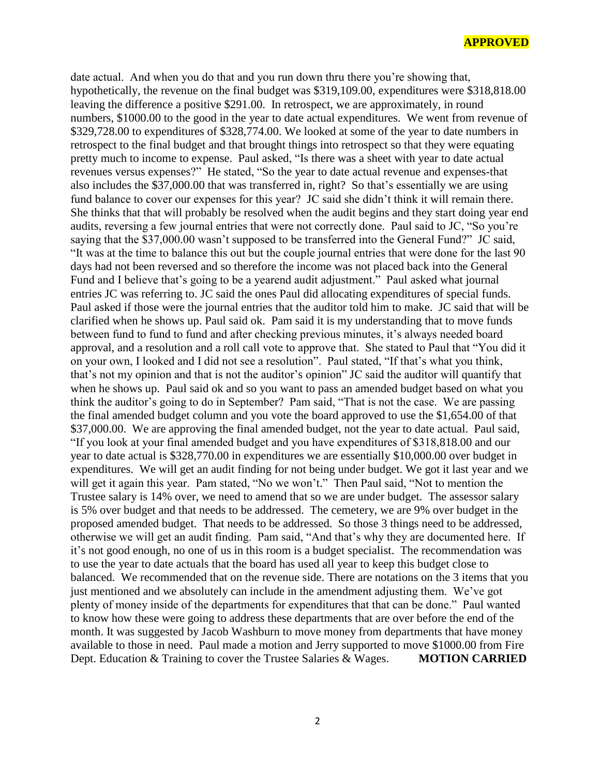#### **APPROVED**

date actual. And when you do that and you run down thru there you're showing that, hypothetically, the revenue on the final budget was \$319,109.00, expenditures were \$318,818.00 leaving the difference a positive \$291.00. In retrospect, we are approximately, in round numbers, \$1000.00 to the good in the year to date actual expenditures. We went from revenue of \$329,728.00 to expenditures of \$328,774.00. We looked at some of the year to date numbers in retrospect to the final budget and that brought things into retrospect so that they were equating pretty much to income to expense. Paul asked, "Is there was a sheet with year to date actual revenues versus expenses?" He stated, "So the year to date actual revenue and expenses-that also includes the \$37,000.00 that was transferred in, right? So that's essentially we are using fund balance to cover our expenses for this year? JC said she didn't think it will remain there. She thinks that that will probably be resolved when the audit begins and they start doing year end audits, reversing a few journal entries that were not correctly done. Paul said to JC, "So you're saying that the \$37,000.00 wasn't supposed to be transferred into the General Fund?" JC said, "It was at the time to balance this out but the couple journal entries that were done for the last 90 days had not been reversed and so therefore the income was not placed back into the General Fund and I believe that's going to be a yearend audit adjustment." Paul asked what journal entries JC was referring to. JC said the ones Paul did allocating expenditures of special funds. Paul asked if those were the journal entries that the auditor told him to make. JC said that will be clarified when he shows up. Paul said ok. Pam said it is my understanding that to move funds between fund to fund to fund and after checking previous minutes, it's always needed board approval, and a resolution and a roll call vote to approve that. She stated to Paul that "You did it on your own, I looked and I did not see a resolution". Paul stated, "If that's what you think, that's not my opinion and that is not the auditor's opinion" JC said the auditor will quantify that when he shows up. Paul said ok and so you want to pass an amended budget based on what you think the auditor's going to do in September? Pam said, "That is not the case. We are passing the final amended budget column and you vote the board approved to use the \$1,654.00 of that \$37,000.00. We are approving the final amended budget, not the year to date actual. Paul said, "If you look at your final amended budget and you have expenditures of \$318,818.00 and our year to date actual is \$328,770.00 in expenditures we are essentially \$10,000.00 over budget in expenditures. We will get an audit finding for not being under budget. We got it last year and we will get it again this year. Pam stated, "No we won't." Then Paul said, "Not to mention the Trustee salary is 14% over, we need to amend that so we are under budget. The assessor salary is 5% over budget and that needs to be addressed. The cemetery, we are 9% over budget in the proposed amended budget. That needs to be addressed. So those 3 things need to be addressed, otherwise we will get an audit finding. Pam said, "And that's why they are documented here. If it's not good enough, no one of us in this room is a budget specialist. The recommendation was to use the year to date actuals that the board has used all year to keep this budget close to balanced. We recommended that on the revenue side. There are notations on the 3 items that you just mentioned and we absolutely can include in the amendment adjusting them. We've got plenty of money inside of the departments for expenditures that that can be done." Paul wanted to know how these were going to address these departments that are over before the end of the month. It was suggested by Jacob Washburn to move money from departments that have money available to those in need. Paul made a motion and Jerry supported to move \$1000.00 from Fire Dept. Education & Training to cover the Trustee Salaries & Wages. **MOTION CARRIED**